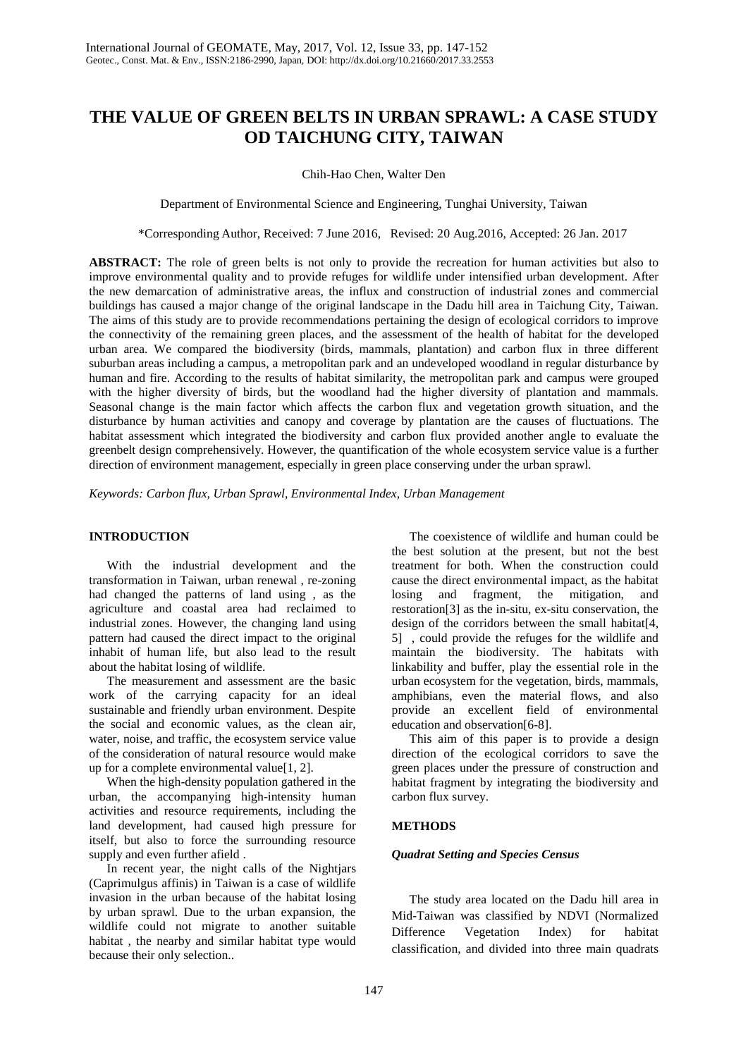# **THE VALUE OF GREEN BELTS IN URBAN SPRAWL: A CASE STUDY OD TAICHUNG CITY, TAIWAN**

Chih-Hao Chen, Walter Den

Department of Environmental Science and Engineering, Tunghai University, Taiwan

\*Corresponding Author, Received: 7 June 2016, Revised: 20 Aug.2016, Accepted: 26 Jan. 2017

**ABSTRACT:** The role of green belts is not only to provide the recreation for human activities but also to improve environmental quality and to provide refuges for wildlife under intensified urban development. After the new demarcation of administrative areas, the influx and construction of industrial zones and commercial buildings has caused a major change of the original landscape in the Dadu hill area in Taichung City, Taiwan. The aims of this study are to provide recommendations pertaining the design of ecological corridors to improve the connectivity of the remaining green places, and the assessment of the health of habitat for the developed urban area. We compared the biodiversity (birds, mammals, plantation) and carbon flux in three different suburban areas including a campus, a metropolitan park and an undeveloped woodland in regular disturbance by human and fire. According to the results of habitat similarity, the metropolitan park and campus were grouped with the higher diversity of birds, but the woodland had the higher diversity of plantation and mammals. Seasonal change is the main factor which affects the carbon flux and vegetation growth situation, and the disturbance by human activities and canopy and coverage by plantation are the causes of fluctuations. The habitat assessment which integrated the biodiversity and carbon flux provided another angle to evaluate the greenbelt design comprehensively. However, the quantification of the whole ecosystem service value is a further direction of environment management, especially in green place conserving under the urban sprawl.

*Keywords: Carbon flux, Urban Sprawl, Environmental Index, Urban Management*

# **INTRODUCTION**

With the industrial development and the transformation in Taiwan, urban renewal , re-zoning had changed the patterns of land using , as the agriculture and coastal area had reclaimed to industrial zones. However, the changing land using pattern had caused the direct impact to the original inhabit of human life, but also lead to the result about the habitat losing of wildlife.

The measurement and assessment are the basic work of the carrying capacity for an ideal sustainable and friendly urban environment. Despite the social and economic values, as the clean air, water, noise, and traffic, the ecosystem service value of the consideration of natural resource would make up for a complete environmental value[1, 2].

When the high-density population gathered in the urban, the accompanying high-intensity human activities and resource requirements, including the land development, had caused high pressure for itself, but also to force the surrounding resource supply and even further afield .

In recent year, the night calls of the Nightjars (Caprimulgus affinis) in Taiwan is a case of wildlife invasion in the urban because of the habitat losing by urban sprawl. Due to the urban expansion, the wildlife could not migrate to another suitable habitat , the nearby and similar habitat type would because their only selection..

The coexistence of wildlife and human could be the best solution at the present, but not the best treatment for both. When the construction could cause the direct environmental impact, as the habitat losing and fragment, the mitigation, and restoration[3] as the in-situ, ex-situ conservation, the design of the corridors between the small habitat<sup>[4]</sup>, 5] , could provide the refuges for the wildlife and maintain the biodiversity. The habitats with linkability and buffer, play the essential role in the urban ecosystem for the vegetation, birds, mammals, amphibians, even the material flows, and also provide an excellent field of environmental education and observation[6-8].

This aim of this paper is to provide a design direction of the ecological corridors to save the green places under the pressure of construction and habitat fragment by integrating the biodiversity and carbon flux survey.

# **METHODS**

# *Quadrat Setting and Species Census*

The study area located on the Dadu hill area in Mid-Taiwan was classified by NDVI (Normalized Difference Vegetation Index) for habitat classification, and divided into three main quadrats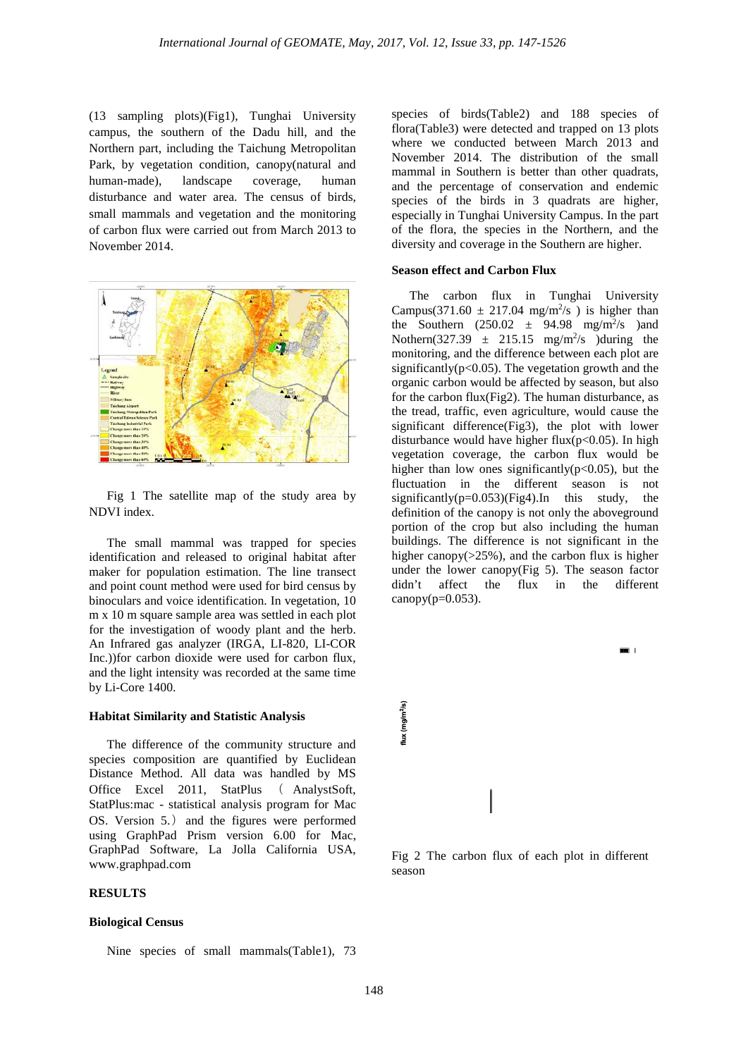(13 sampling plots)(Fig1), Tunghai University campus, the southern of the Dadu hill, and the Northern part, including the Taichung Metropolitan Park, by vegetation condition, canopy(natural and human-made), landscape coverage, human disturbance and water area. The census of birds, small mammals and vegetation and the monitoring of carbon flux were carried out from March 2013 to November 2014.



Fig 1 The satellite map of the study area by NDVI index.

The small mammal was trapped for species identification and released to original habitat after maker for population estimation. The line transect and point count method were used for bird census by binoculars and voice identification. In vegetation, 10 m x 10 m square sample area was settled in each plot for the investigation of woody plant and the herb. An Infrared gas analyzer (IRGA, LI-820, LI-COR Inc.))for carbon dioxide were used for carbon flux, and the light intensity was recorded at the same time by Li-Core 1400.

### **Habitat Similarity and Statistic Analysis**

The difference of the community structure and species composition are quantified by Euclidean Distance Method. All data was handled by MS Office Excel 2011, StatPlus ( AnalystSoft, StatPlus:mac - statistical analysis program for Mac OS. Version 5.) and the figures were performed using GraphPad Prism version 6.00 for Mac, GraphPad Software, La Jolla California USA, [www.graphpad.com](http://www.graphpad.com/)

## **RESULTS**

#### **Biological Census**

Nine species of small mammals(Table1), 73

species of birds(Table2) and 188 species of flora(Table3) were detected and trapped on 13 plots where we conducted between March 2013 and November 2014. The distribution of the small mammal in Southern is better than other quadrats, and the percentage of conservation and endemic species of the birds in 3 quadrats are higher, especially in Tunghai University Campus. In the part of the flora, the species in the Northern, and the diversity and coverage in the Southern are higher.

#### **Season effect and Carbon Flux**

The carbon flux in Tunghai University Campus(371.60  $\pm$  217.04 mg/m<sup>2</sup>/s) is higher than the Southern  $(250.02 \pm 94.98 \text{ mg/m}^2/\text{s})$  and Nothern(327.39  $\pm$  215.15 mg/m<sup>2</sup>/s )during the monitoring, and the difference between each plot are significantly( $p<0.05$ ). The vegetation growth and the organic carbon would be affected by season, but also for the carbon flux(Fig2). The human disturbance, as the tread, traffic, even agriculture, would cause the significant difference(Fig3), the plot with lower disturbance would have higher flux( $p<0.05$ ). In high vegetation coverage, the carbon flux would be higher than low ones significantly( $p<0.05$ ), but the fluctuation in the different season is not significantly( $p=0.053$ )(Fig4).In this study, the definition of the canopy is not only the aboveground portion of the crop but also including the human buildings. The difference is not significant in the higher canopy( $>25\%$ ), and the carbon flux is higher under the lower canopy(Fig 5). The season factor didn't affect the flux in the different canopy $(p=0.053)$ .



Fig 2 The carbon flux of each plot in different season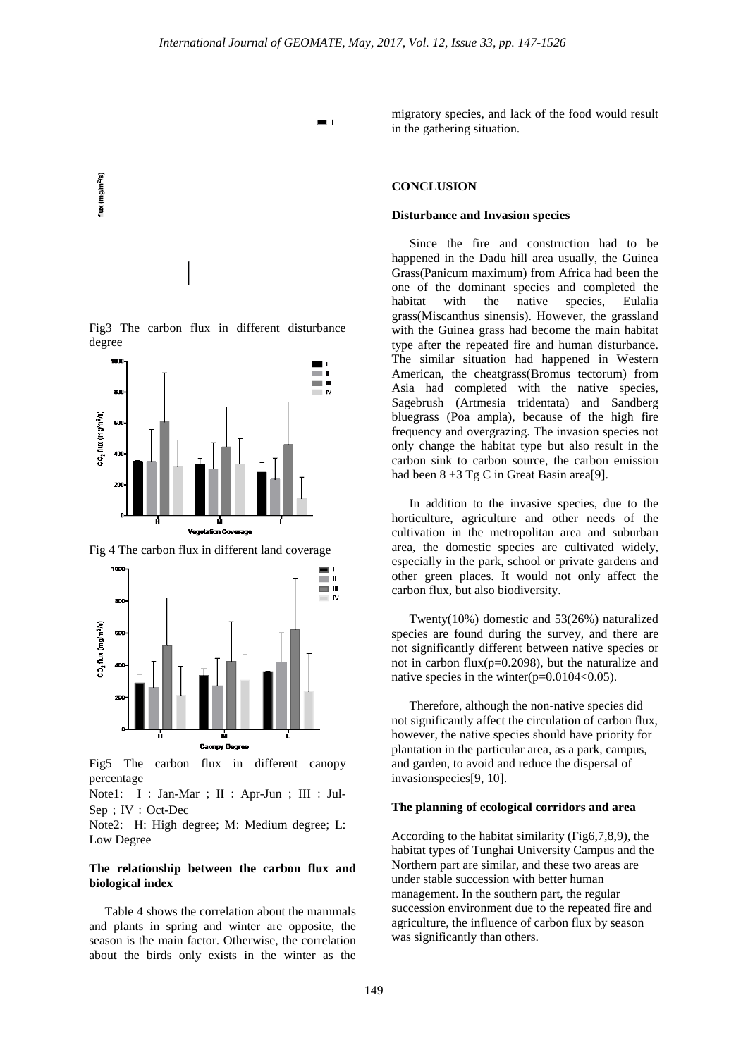$\blacksquare$ 



Fig3 The carbon flux in different disturbance degree



Fig 4 The carbon flux in different land coverage



Fig5 The carbon flux in different canopy percentage

Note1: I: Jan-Mar; II: Apr-Jun; III: Jul-Sep; IV: Oct-Dec

Note2: H: High degree; M: Medium degree; L: Low Degree

### **The relationship between the carbon flux and biological index**

 Table 4 shows the correlation about the mammals and plants in spring and winter are opposite, the season is the main factor. Otherwise, the correlation about the birds only exists in the winter as the

migratory species, and lack of the food would result in the gathering situation.

## **CONCLUSION**

#### **Disturbance and Invasion species**

Since the fire and construction had to be happened in the Dadu hill area usually, the Guinea Grass(Panicum maximum) from Africa had been the one of the dominant species and completed the habitat with the native species, Eulalia grass(Miscanthus sinensis). However, the grassland with the Guinea grass had become the main habitat type after the repeated fire and human disturbance. The similar situation had happened in Western American, the cheatgrass(Bromus tectorum) from Asia had completed with the native species, Sagebrush (Artmesia tridentata) and Sandberg bluegrass (Poa ampla), because of the high fire frequency and overgrazing. The invasion species not only change the habitat type but also result in the carbon sink to carbon source, the carbon emission had been  $8 \pm 3$  Tg C in Great Basin area[9].

In addition to the invasive species, due to the horticulture, agriculture and other needs of the cultivation in the metropolitan area and suburban area, the domestic species are cultivated widely, especially in the park, school or private gardens and other green places. It would not only affect the carbon flux, but also biodiversity.

Twenty(10%) domestic and 53(26%) naturalized species are found during the survey, and there are not significantly different between native species or not in carbon flux(p=0.2098), but the naturalize and native species in the winter(p=0.0104<0.05).

Therefore, although the non-native species did not significantly affect the circulation of carbon flux, however, the native species should have priority for plantation in the particular area, as a park, campus, and garden, to avoid and reduce the dispersal of invasionspecies[9, 10].

#### **The planning of ecological corridors and area**

According to the habitat similarity (Fig6,7,8,9), the habitat types of Tunghai University Campus and the Northern part are similar, and these two areas are under stable succession with better human management. In the southern part, the regular succession environment due to the repeated fire and agriculture, the influence of carbon flux by season was significantly than others.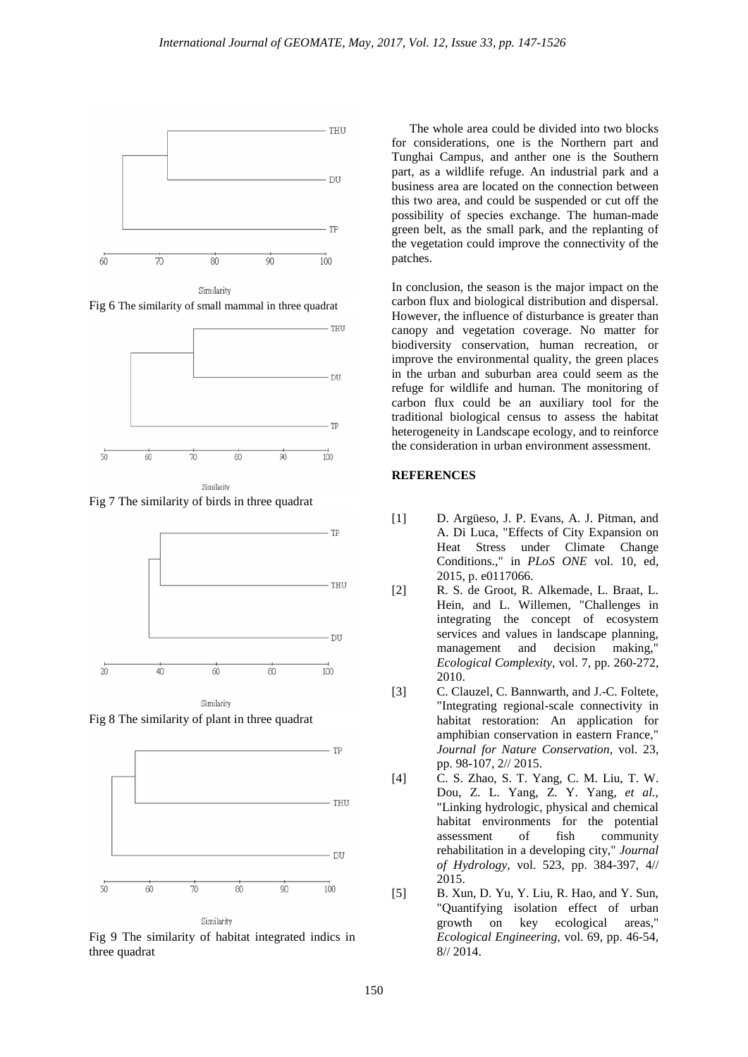

Fig 6 The similarity of small mammal in three quadrat



Fig 7 The similarity of birds in three quadrat



Fig 8 The similarity of plant in three quadrat



Fig 9 The similarity of habitat integrated indics in three quadrat

The whole area could be divided into two blocks for considerations, one is the Northern part and Tunghai Campus, and anther one is the Southern part, as a wildlife refuge. An industrial park and a business area are located on the connection between this two area, and could be suspended or cut off the possibility of species exchange. The human-made green belt, as the small park, and the replanting of the vegetation could improve the connectivity of the patches.

In conclusion, the season is the major impact on the carbon flux and biological distribution and dispersal. However, the influence of disturbance is greater than canopy and vegetation coverage. No matter for biodiversity conservation, human recreation, or improve the environmental quality, the green places in the urban and suburban area could seem as the refuge for wildlife and human. The monitoring of carbon flux could be an auxiliary tool for the traditional biological census to assess the habitat heterogeneity in Landscape ecology, and to reinforce the consideration in urban environment assessment.

### **REFERENCES**

- [1] D. Argüeso, J. P. Evans, A. J. Pitman, and A. Di Luca, "Effects of City Expansion on Heat Stress under Climate Change Conditions.," in *PLoS ONE* vol. 10, ed, 2015, p. e0117066.
- [2] R. S. de Groot, R. Alkemade, L. Braat, L. Hein, and L. Willemen, "Challenges in integrating the concept of ecosystem services and values in landscape planning, management and decision making, *Ecological Complexity,* vol. 7, pp. 260-272, 2010.
- [3] C. Clauzel, C. Bannwarth, and J.-C. Foltete, "Integrating regional-scale connectivity in habitat restoration: An application for amphibian conservation in eastern France," *Journal for Nature Conservation,* vol. 23, pp. 98-107, 2// 2015.
- [4] C. S. Zhao, S. T. Yang, C. M. Liu, T. W. Dou, Z. L. Yang, Z. Y. Yang*, et al.*, "Linking hydrologic, physical and chemical habitat environments for the potential assessment of fish community rehabilitation in a developing city," *Journal of Hydrology,* vol. 523, pp. 384-397, 4// 2015.
- [5] B. Xun, D. Yu, Y. Liu, R. Hao, and Y. Sun, "Quantifying isolation effect of urban growth on key ecological areas," *Ecological Engineering,* vol. 69, pp. 46-54, 8// 2014.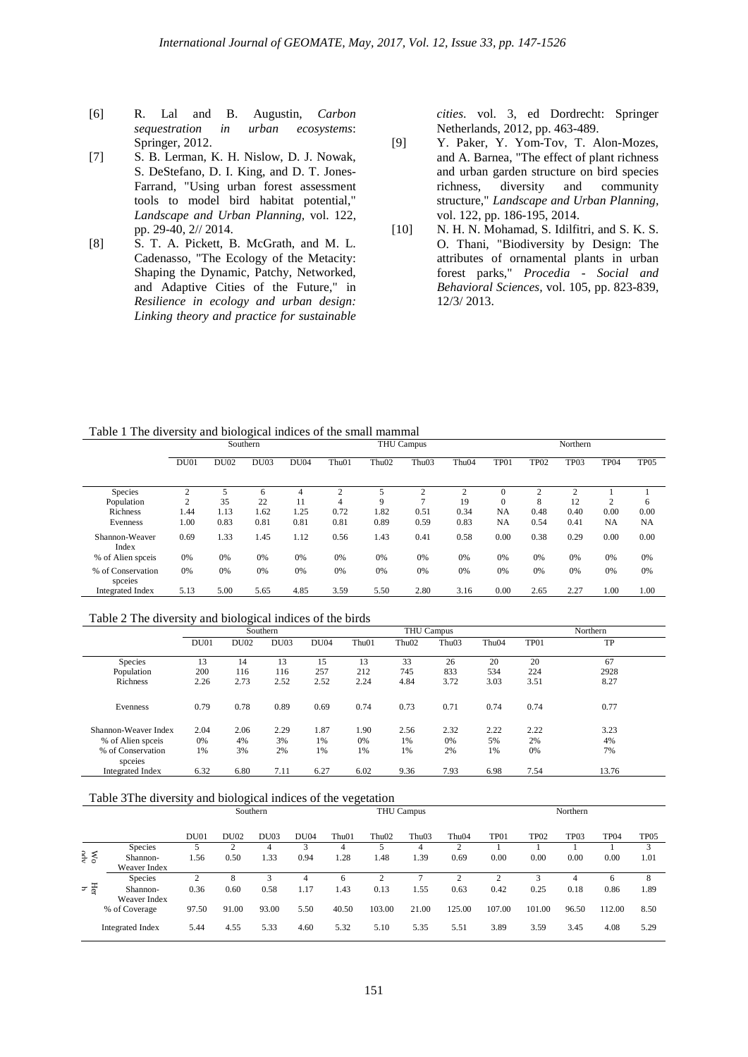- [6] R. Lal and B. Augustin, *Carbon sequestration in urban ecosystems*: Springer, 2012.
- [7] S. B. Lerman, K. H. Nislow, D. J. Nowak, S. DeStefano, D. I. King, and D. T. Jones-Farrand, "Using urban forest assessment tools to model bird habitat potential," *Landscape and Urban Planning,* vol. 122, pp. 29-40, 2// 2014.
- [8] S. T. A. Pickett, B. McGrath, and M. L. Cadenasso, "The Ecology of the Metacity: Shaping the Dynamic, Patchy, Networked, and Adaptive Cities of the Future," in *Resilience in ecology and urban design: Linking theory and practice for sustainable*

*cities*. vol. 3, ed Dordrecht: Springer Netherlands, 2012, pp. 463-489.

- [9] Y. Paker, Y. Yom-Tov, T. Alon-Mozes, and A. Barnea, "The effect of plant richness and urban garden structure on bird species richness, diversity and community structure," *Landscape and Urban Planning,*  vol. 122, pp. 186-195, 2014.
- [10] N. H. N. Mohamad, S. Idilfitri, and S. K. S. O. Thani, "Biodiversity by Design: The attributes of ornamental plants in urban forest parks," *Procedia - Social and Behavioral Sciences,* vol. 105, pp. 823-839, 12/3/ 2013.

Table 1 The diversity and biological indices of the small mammal

|                              |                |             | Southern |             | <b>THU Campus</b> |                   |                   |                | Northern       |                  |      |             |           |
|------------------------------|----------------|-------------|----------|-------------|-------------------|-------------------|-------------------|----------------|----------------|------------------|------|-------------|-----------|
|                              | DU01           | <b>DU02</b> | DU03     | <b>DU04</b> | Thu <sub>01</sub> | Thu <sub>02</sub> | Thu <sub>03</sub> | Thu04          | TP01           | TP <sub>02</sub> | TP03 | <b>TP04</b> | TP05      |
| Species                      | 2              |             | 6        | 4           | h                 |                   | C                 | $\overline{c}$ |                | $\overline{c}$   |      |             |           |
| Population                   | $\overline{c}$ | 35          | 22       | 11          | 4                 | 9                 | ⇁                 | 19             | $\overline{0}$ | 8                | 12   | 2           | 6         |
| Richness                     | 1.44           | 1.13        | 1.62     | 1.25        | 0.72              | 1.82              | 0.51              | 0.34           | NA             | 0.48             | 0.40 | 0.00        | 0.00      |
| Evenness                     | 1.00           | 0.83        | 0.81     | 0.81        | 0.81              | 0.89              | 0.59              | 0.83           | NA             | 0.54             | 0.41 | NA          | <b>NA</b> |
| Shannon-Weaver<br>Index      | 0.69           | 1.33        | 1.45     | 1.12        | 0.56              | 1.43              | 0.41              | 0.58           | 0.00           | 0.38             | 0.29 | 0.00        | 0.00      |
| % of Alien speeis            | 0%             | 0%          | 0%       | 0%          | 0%                | 0%                | 0%                | 0%             | 0%             | 0%               | 0%   | 0%          | 0%        |
| % of Conservation<br>species | 0%             | 0%          | 0%       | 0%          | 0%                | 0%                | 0%                | 0%             | 0%             | 0%               | 0%   | 0%          | 0%        |
| <b>Integrated Index</b>      | 5.13           | 5.00        | 5.65     | 4.85        | 3.59              | 5.50              | 2.80              | 3.16           | 0.00           | 2.65             | 2.27 | 1.00        | 1.00      |

## Table 2 The diversity and biological indices of the birds

|                         |      |             | Southern    |             |                   |                   | <b>THU Campus</b> | Northern          |      |       |
|-------------------------|------|-------------|-------------|-------------|-------------------|-------------------|-------------------|-------------------|------|-------|
|                         | DU01 | <b>DU02</b> | <b>DU03</b> | <b>DU04</b> | Thu <sub>01</sub> | Thu <sub>02</sub> | Thu <sub>03</sub> | Thu <sub>04</sub> | TP01 | TP    |
| Species                 | 13   | 14          | 13          | 15          | 13                | 33                | 26                | 20                | 20   | 67    |
| Population              | 200  | 116         | 116         | 257         | 212               | 745               | 833               | 534               | 224  | 2928  |
| Richness                | 2.26 | 2.73        | 2.52        | 2.52        | 2.24              | 4.84              | 3.72              | 3.03              | 3.51 | 8.27  |
| Evenness                | 0.79 | 0.78        | 0.89        | 0.69        | 0.74              | 0.73              | 0.71              | 0.74              | 0.74 | 0.77  |
| Shannon-Weaver Index    | 2.04 | 2.06        | 2.29        | 1.87        | 1.90              | 2.56              | 2.32              | 2.22              | 2.22 | 3.23  |
| % of Alien speeis       | 0%   | 4%          | 3%          | 1%          | 0%                | 1%                | 0%                | 5%                | 2%   | 4%    |
| % of Conservation       | 1%   | 3%          | 2%          | 1%          | 1%                | 1%                | 2%                | 1%                | 0%   | 7%    |
| species                 |      |             |             |             |                   |                   |                   |                   |      |       |
| <b>Integrated Index</b> | 6.32 | 6.80        | 7.11        | 6.27        | 6.02              | 9.36              | 7.93              | 6.98              | 7.54 | 13.76 |

#### Table 3The diversity and biological indices of the vegetation Southern THU Campus Northern

|          |                          | DU01  | <b>DU02</b> | DU <sub>03</sub> | <b>DU04</b> | Thu01 | Thu <sub>02</sub> | Thu03 | Thu <sub>04</sub> | TP01   | TP <sub>02</sub> | TP03  | TP <sub>04</sub> | TP <sub>05</sub>        |
|----------|--------------------------|-------|-------------|------------------|-------------|-------|-------------------|-------|-------------------|--------|------------------|-------|------------------|-------------------------|
|          | Species                  |       |             | 4                |             |       |                   | 4     | ↑                 |        |                  |       |                  | $\mathbf{\overline{a}}$ |
| Wo<br>Ps | Shannon-                 | l.56  | 0.50        | 1.33             | 0.94        | 1.28  | 1.48              | 1.39  | 0.69              | 0.00   | 0.00             | 0.00  | 0.00             | 1.01                    |
|          | Weaver Index             |       |             |                  |             |       |                   |       |                   |        |                  |       |                  |                         |
|          | Species                  |       |             |                  |             |       |                   |       |                   |        |                  |       | h                | 8                       |
| 도 도      | Shannon-<br>Weaver Index | 0.36  | 0.60        | 0.58             | 1.17        | 1.43  | 0.13              | 1.55  | 0.63              | 0.42   | 0.25             | 0.18  | 0.86             | 1.89                    |
|          | % of Coverage            | 97.50 | 91.00       | 93.00            | 5.50        | 40.50 | 103.00            | 21.00 | 125.00            | 107.00 | 101.00           | 96.50 | 112.00           | 8.50                    |
|          | <b>Integrated Index</b>  | 5.44  | 4.55        | 5.33             | 4.60        | 5.32  | 5.10              | 5.35  | 5.51              | 3.89   | 3.59             | 3.45  | 4.08             | 5.29                    |